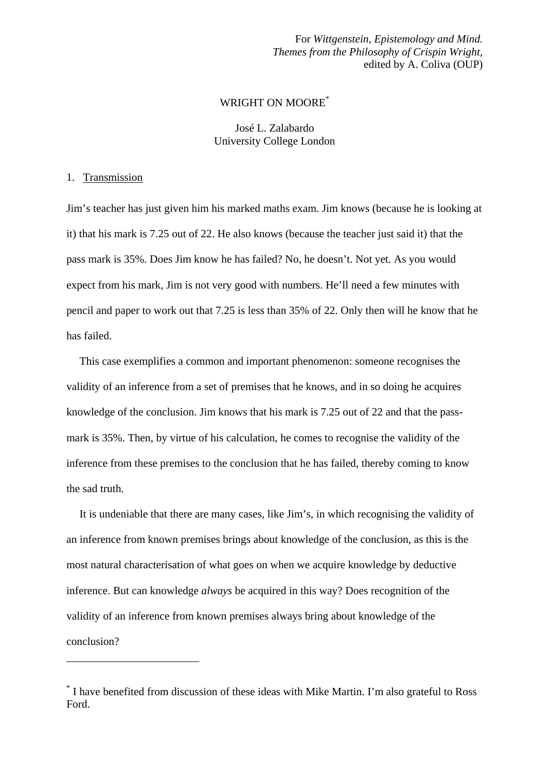For *Wittgenstein, Epistemology and Mind. Themes from the Philosophy of Crispin Wright*, edited by A. Coliva (OUP)

# WRIGHT ON MOORE<sup>\*</sup>

José L. Zalabardo University College London

## 1. Transmission

 $\overline{a}$ 

Jim's teacher has just given him his marked maths exam. Jim knows (because he is looking at it) that his mark is 7.25 out of 22. He also knows (because the teacher just said it) that the pass mark is 35%. Does Jim know he has failed? No, he doesn't. Not yet. As you would expect from his mark, Jim is not very good with numbers. He'll need a few minutes with pencil and paper to work out that 7.25 is less than 35% of 22. Only then will he know that he has failed.

This case exemplifies a common and important phenomenon: someone recognises the validity of an inference from a set of premises that he knows, and in so doing he acquires knowledge of the conclusion. Jim knows that his mark is 7.25 out of 22 and that the passmark is 35%. Then, by virtue of his calculation, he comes to recognise the validity of the inference from these premises to the conclusion that he has failed, thereby coming to know the sad truth.

It is undeniable that there are many cases, like Jim's, in which recognising the validity of an inference from known premises brings about knowledge of the conclusion, as this is the most natural characterisation of what goes on when we acquire knowledge by deductive inference. But can knowledge *always* be acquired in this way? Does recognition of the validity of an inference from known premises always bring about knowledge of the conclusion?

<span id="page-0-0"></span><sup>\*</sup> I have benefited from discussion of these ideas with Mike Martin. I'm also grateful to Ross Ford.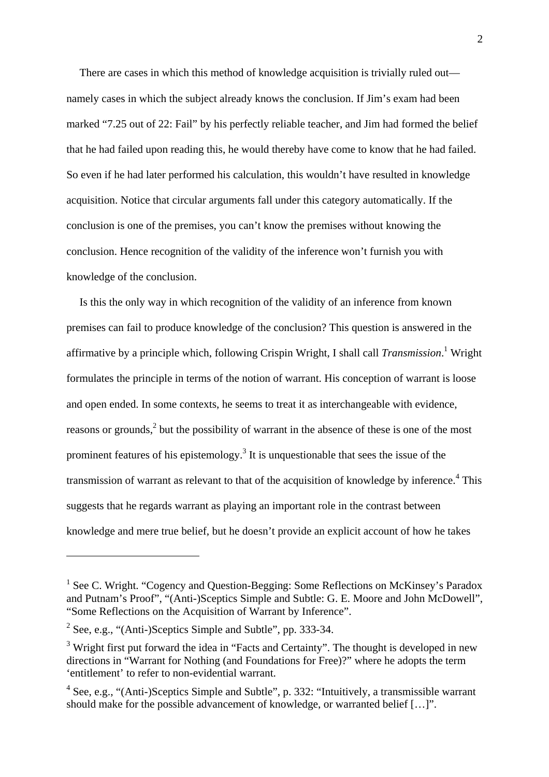There are cases in which this method of knowledge acquisition is trivially ruled out namely cases in which the subject already knows the conclusion. If Jim's exam had been marked "7.25 out of 22: Fail" by his perfectly reliable teacher, and Jim had formed the belief that he had failed upon reading this, he would thereby have come to know that he had failed. So even if he had later performed his calculation, this wouldn't have resulted in knowledge acquisition. Notice that circular arguments fall under this category automatically. If the conclusion is one of the premises, you can't know the premises without knowing the conclusion. Hence recognition of the validity of the inference won't furnish you with knowledge of the conclusion.

Is this the only way in which recognition of the validity of an inference from known premises can fail to produce knowledge of the conclusion? This question is answered in the affirmative by a principle which, following Crispin Wright, I shall call *Transmission*. [1](#page-1-0) Wright formulates the principle in terms of the notion of warrant. His conception of warrant is loose and open ended. In some contexts, he seems to treat it as interchangeable with evidence, reasons or grounds,<sup>2</sup> but the possibility of warrant in the absence of these is one of the most prominent features of his epistemology.<sup>[3](#page-1-2)</sup> It is unquestionable that sees the issue of the transmission of warrant as relevant to that of the acquisition of knowledge by inference.<sup>[4](#page-1-3)</sup> This suggests that he regards warrant as playing an important role in the contrast between knowledge and mere true belief, but he doesn't provide an explicit account of how he takes

<span id="page-1-0"></span><sup>&</sup>lt;sup>1</sup> See C. Wright. "Cogency and Question-Begging: Some Reflections on McKinsey's Paradox and Putnam's Proof", "(Anti-)Sceptics Simple and Subtle: G. E. Moore and John McDowell", "Some Reflections on the Acquisition of Warrant by Inference".

<span id="page-1-1"></span> $2^2$  See, e.g., "(Anti-)Sceptics Simple and Subtle", pp. 333-34.

<span id="page-1-2"></span> $3$  Wright first put forward the idea in "Facts and Certainty". The thought is developed in new directions in "Warrant for Nothing (and Foundations for Free)?" where he adopts the term 'entitlement' to refer to non-evidential warrant.

<span id="page-1-3"></span> $4$  See, e.g., "(Anti-)Sceptics Simple and Subtle", p. 332: "Intuitively, a transmissible warrant should make for the possible advancement of knowledge, or warranted belief […]".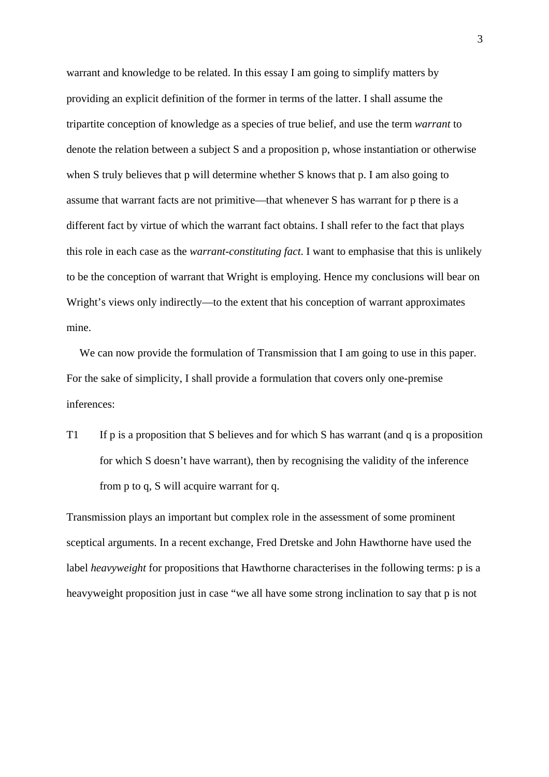warrant and knowledge to be related. In this essay I am going to simplify matters by providing an explicit definition of the former in terms of the latter. I shall assume the tripartite conception of knowledge as a species of true belief, and use the term *warrant* to denote the relation between a subject S and a proposition p, whose instantiation or otherwise when S truly believes that p will determine whether S knows that p. I am also going to assume that warrant facts are not primitive—that whenever S has warrant for p there is a different fact by virtue of which the warrant fact obtains. I shall refer to the fact that plays this role in each case as the *warrant-constituting fact*. I want to emphasise that this is unlikely to be the conception of warrant that Wright is employing. Hence my conclusions will bear on Wright's views only indirectly—to the extent that his conception of warrant approximates mine.

We can now provide the formulation of Transmission that I am going to use in this paper. For the sake of simplicity, I shall provide a formulation that covers only one-premise inferences:

T1 If p is a proposition that S believes and for which S has warrant (and q is a proposition for which S doesn't have warrant), then by recognising the validity of the inference from p to q, S will acquire warrant for q.

Transmission plays an important but complex role in the assessment of some prominent sceptical arguments. In a recent exchange, Fred Dretske and John Hawthorne have used the label *heavyweight* for propositions that Hawthorne characterises in the following terms: p is a heavyweight proposition just in case "we all have some strong inclination to say that p is not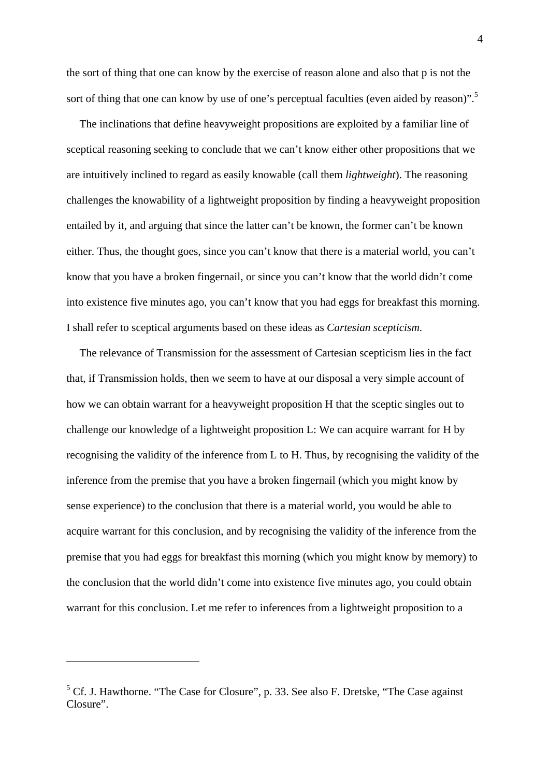the sort of thing that one can know by the exercise of reason alone and also that p is not the sort of thing that one can know by use of one's perceptual faculties (even aided by reason)".<sup>5</sup>

The inclinations that define heavyweight propositions are exploited by a familiar line of sceptical reasoning seeking to conclude that we can't know either other propositions that we are intuitively inclined to regard as easily knowable (call them *lightweight*). The reasoning challenges the knowability of a lightweight proposition by finding a heavyweight proposition entailed by it, and arguing that since the latter can't be known, the former can't be known either. Thus, the thought goes, since you can't know that there is a material world, you can't know that you have a broken fingernail, or since you can't know that the world didn't come into existence five minutes ago, you can't know that you had eggs for breakfast this morning. I shall refer to sceptical arguments based on these ideas as *Cartesian scepticism*.

The relevance of Transmission for the assessment of Cartesian scepticism lies in the fact that, if Transmission holds, then we seem to have at our disposal a very simple account of how we can obtain warrant for a heavyweight proposition H that the sceptic singles out to challenge our knowledge of a lightweight proposition L: We can acquire warrant for H by recognising the validity of the inference from L to H. Thus, by recognising the validity of the inference from the premise that you have a broken fingernail (which you might know by sense experience) to the conclusion that there is a material world, you would be able to acquire warrant for this conclusion, and by recognising the validity of the inference from the premise that you had eggs for breakfast this morning (which you might know by memory) to the conclusion that the world didn't come into existence five minutes ago, you could obtain warrant for this conclusion. Let me refer to inferences from a lightweight proposition to a

<span id="page-3-0"></span> $<sup>5</sup>$  Cf. J. Hawthorne. "The Case for Closure", p. 33. See also F. Dretske, "The Case against</sup> Closure".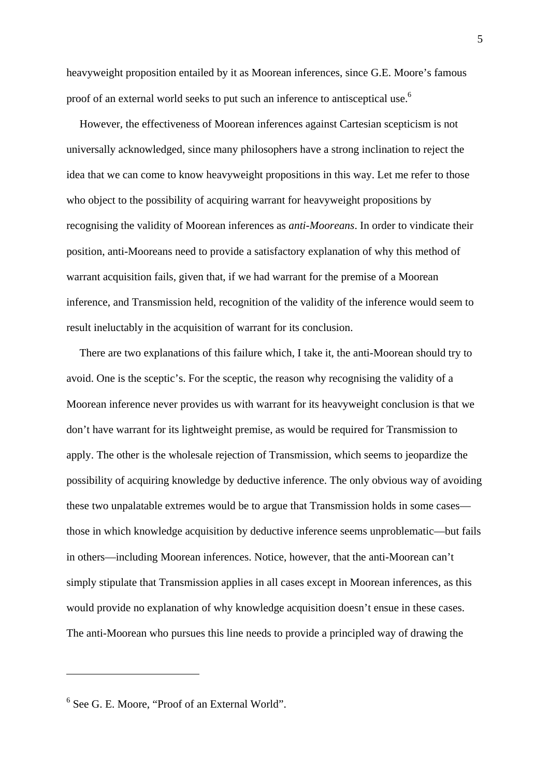heavyweight proposition entailed by it as Moorean inferences, since G.E. Moore's famous proof of an external world seeks to put such an inference to antisceptical use.<sup>[6](#page-4-0)</sup>

However, the effectiveness of Moorean inferences against Cartesian scepticism is not universally acknowledged, since many philosophers have a strong inclination to reject the idea that we can come to know heavyweight propositions in this way. Let me refer to those who object to the possibility of acquiring warrant for heavyweight propositions by recognising the validity of Moorean inferences as *anti-Mooreans*. In order to vindicate their position, anti-Mooreans need to provide a satisfactory explanation of why this method of warrant acquisition fails, given that, if we had warrant for the premise of a Moorean inference, and Transmission held, recognition of the validity of the inference would seem to result ineluctably in the acquisition of warrant for its conclusion.

There are two explanations of this failure which, I take it, the anti-Moorean should try to avoid. One is the sceptic's. For the sceptic, the reason why recognising the validity of a Moorean inference never provides us with warrant for its heavyweight conclusion is that we don't have warrant for its lightweight premise, as would be required for Transmission to apply. The other is the wholesale rejection of Transmission, which seems to jeopardize the possibility of acquiring knowledge by deductive inference. The only obvious way of avoiding these two unpalatable extremes would be to argue that Transmission holds in some cases those in which knowledge acquisition by deductive inference seems unproblematic—but fails in others—including Moorean inferences. Notice, however, that the anti-Moorean can't simply stipulate that Transmission applies in all cases except in Moorean inferences, as this would provide no explanation of why knowledge acquisition doesn't ensue in these cases. The anti-Moorean who pursues this line needs to provide a principled way of drawing the

<span id="page-4-0"></span><sup>6</sup> See G. E. Moore, "Proof of an External World".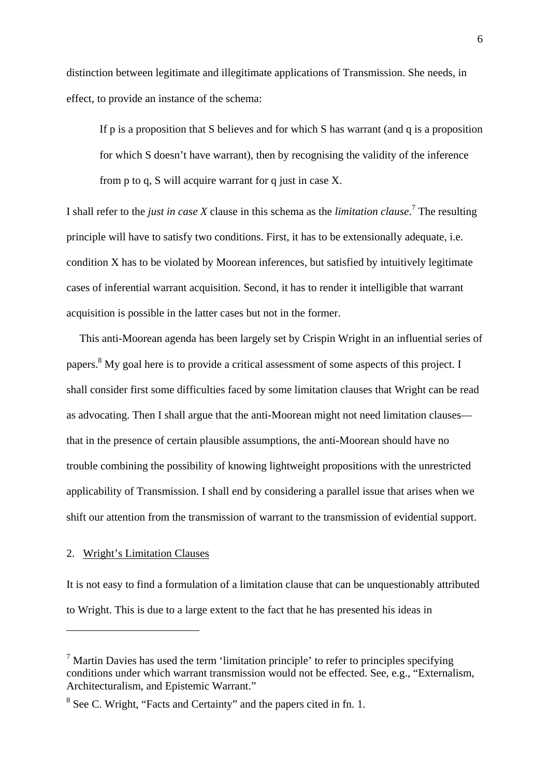distinction between legitimate and illegitimate applications of Transmission. She needs, in effect, to provide an instance of the schema:

 If p is a proposition that S believes and for which S has warrant (and q is a proposition for which S doesn't have warrant), then by recognising the validity of the inference from p to q, S will acquire warrant for q just in case X.

I shall refer to the *just in case X* clause in this schema as the *limitation clause*. [7](#page-5-0) The resulting principle will have to satisfy two conditions. First, it has to be extensionally adequate, i.e. condition X has to be violated by Moorean inferences, but satisfied by intuitively legitimate cases of inferential warrant acquisition. Second, it has to render it intelligible that warrant acquisition is possible in the latter cases but not in the former.

This anti-Moorean agenda has been largely set by Crispin Wright in an influential series of papers.<sup>8</sup> My goal here is to provide a critical assessment of some aspects of this project. I shall consider first some difficulties faced by some limitation clauses that Wright can be read as advocating. Then I shall argue that the anti-Moorean might not need limitation clauses that in the presence of certain plausible assumptions, the anti-Moorean should have no trouble combining the possibility of knowing lightweight propositions with the unrestricted applicability of Transmission. I shall end by considering a parallel issue that arises when we shift our attention from the transmission of warrant to the transmission of evidential support.

## 2. Wright's Limitation Clauses

 $\overline{a}$ 

It is not easy to find a formulation of a limitation clause that can be unquestionably attributed to Wright. This is due to a large extent to the fact that he has presented his ideas in

<span id="page-5-0"></span> $<sup>7</sup>$  Martin Davies has used the term 'limitation principle' to refer to principles specifying</sup> conditions under which warrant transmission would not be effected. See, e.g., "Externalism, Architecturalism, and Epistemic Warrant."

<span id="page-5-1"></span><sup>&</sup>lt;sup>8</sup> See C. Wright, "Facts and Certainty" and the papers cited in fn. 1.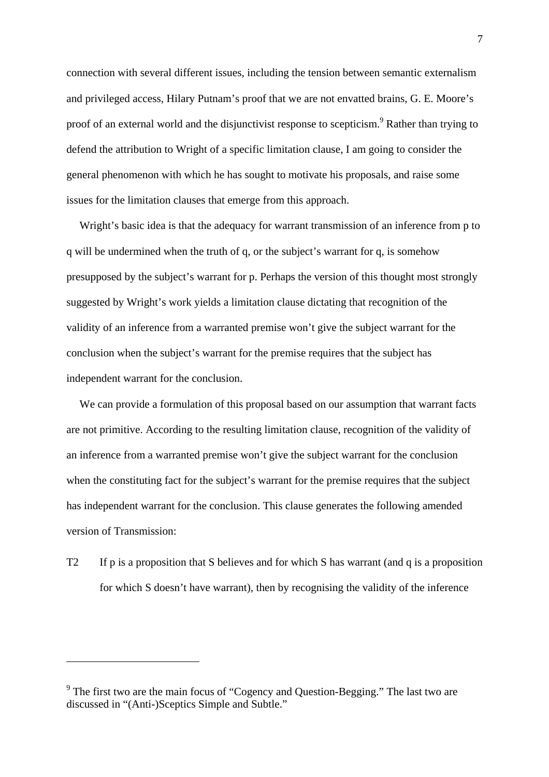connection with several different issues, including the tension between semantic externalism and privileged access, Hilary Putnam's proof that we are not envatted brains, G. E. Moore's proof of an external world and the disjunctivist response to scepticism.<sup>[9](#page-6-0)</sup> Rather than trying to defend the attribution to Wright of a specific limitation clause, I am going to consider the general phenomenon with which he has sought to motivate his proposals, and raise some issues for the limitation clauses that emerge from this approach.

Wright's basic idea is that the adequacy for warrant transmission of an inference from p to q will be undermined when the truth of q, or the subject's warrant for q, is somehow presupposed by the subject's warrant for p. Perhaps the version of this thought most strongly suggested by Wright's work yields a limitation clause dictating that recognition of the validity of an inference from a warranted premise won't give the subject warrant for the conclusion when the subject's warrant for the premise requires that the subject has independent warrant for the conclusion.

We can provide a formulation of this proposal based on our assumption that warrant facts are not primitive. According to the resulting limitation clause, recognition of the validity of an inference from a warranted premise won't give the subject warrant for the conclusion when the constituting fact for the subject's warrant for the premise requires that the subject has independent warrant for the conclusion. This clause generates the following amended version of Transmission:

T2 If p is a proposition that S believes and for which S has warrant (and q is a proposition for which S doesn't have warrant), then by recognising the validity of the inference

<span id="page-6-0"></span> $9^9$  The first two are the main focus of "Cogency and Question-Begging." The last two are discussed in "(Anti-)Sceptics Simple and Subtle."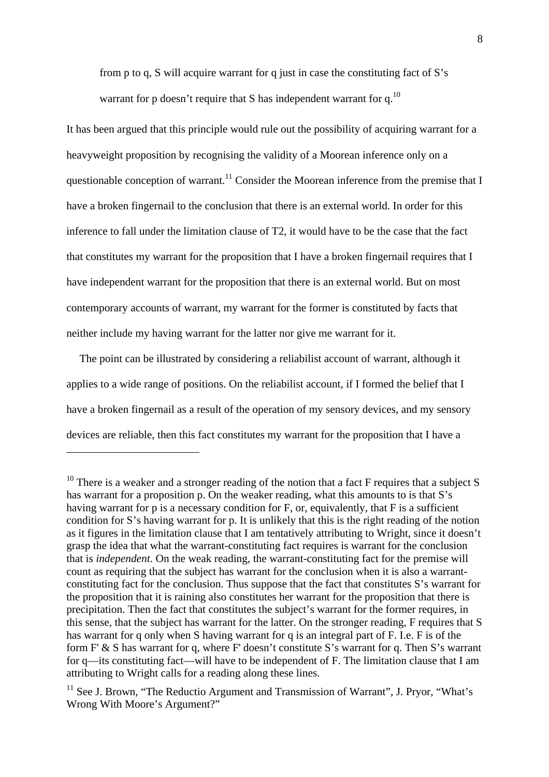<span id="page-7-2"></span>from p to q, S will acquire warrant for q just in case the constituting fact of S's warrant for p doesn't require that S has independent warrant for q.<sup>[10](#page-7-0)</sup>

It has been argued that this principle would rule out the possibility of acquiring warrant for a heavyweight proposition by recognising the validity of a Moorean inference only on a questionable conception of warrant.<sup>11</sup> Consider the Moorean inference from the premise that I have a broken fingernail to the conclusion that there is an external world. In order for this inference to fall under the limitation clause of T2, it would have to be the case that the fact that constitutes my warrant for the proposition that I have a broken fingernail requires that I have independent warrant for the proposition that there is an external world. But on most contemporary accounts of warrant, my warrant for the former is constituted by facts that neither include my having warrant for the latter nor give me warrant for it.

The point can be illustrated by considering a reliabilist account of warrant, although it applies to a wide range of positions. On the reliabilist account, if I formed the belief that I have a broken fingernail as a result of the operation of my sensory devices, and my sensory devices are reliable, then this fact constitutes my warrant for the proposition that I have a

<span id="page-7-0"></span> $10$  There is a weaker and a stronger reading of the notion that a fact F requires that a subject S has warrant for a proposition p. On the weaker reading, what this amounts to is that S's having warrant for p is a necessary condition for F, or, equivalently, that F is a sufficient condition for S's having warrant for p. It is unlikely that this is the right reading of the notion as it figures in the limitation clause that I am tentatively attributing to Wright, since it doesn't grasp the idea that what the warrant-constituting fact requires is warrant for the conclusion that is *independent*. On the weak reading, the warrant-constituting fact for the premise will count as requiring that the subject has warrant for the conclusion when it is also a warrantconstituting fact for the conclusion. Thus suppose that the fact that constitutes S's warrant for the proposition that it is raining also constitutes her warrant for the proposition that there is precipitation. Then the fact that constitutes the subject's warrant for the former requires, in this sense, that the subject has warrant for the latter. On the stronger reading, F requires that S has warrant for q only when S having warrant for q is an integral part of F. I.e. F is of the form F' & S has warrant for q, where F' doesn't constitute S's warrant for q. Then S's warrant for q—its constituting fact—will have to be independent of F. The limitation clause that I am attributing to Wright calls for a reading along these lines.

<span id="page-7-1"></span> $11$  See J. Brown, "The Reductio Argument and Transmission of Warrant", J. Pryor, "What's Wrong With Moore's Argument?"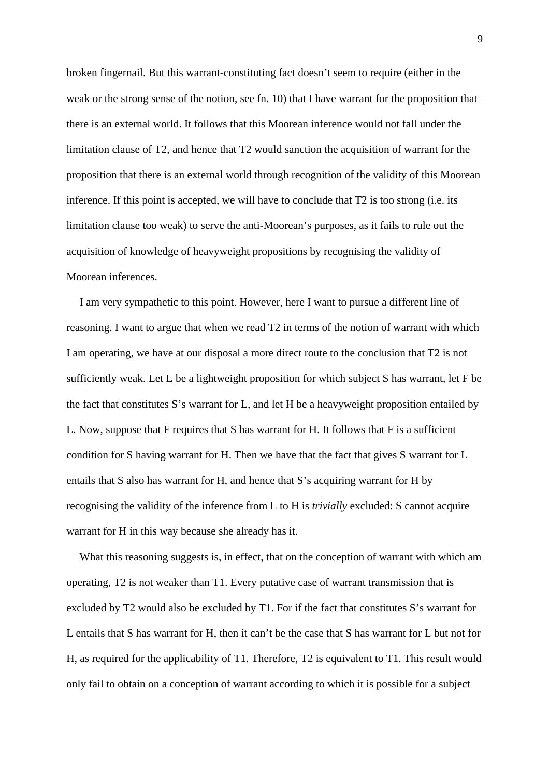broken fingernail. But this warrant-constituting fact doesn't seem to require (either in the weak or the strong sense of the notion, see fn. [10\)](#page-7-2) that I have warrant for the proposition that there is an external world. It follows that this Moorean inference would not fall under the limitation clause of T2, and hence that T2 would sanction the acquisition of warrant for the proposition that there is an external world through recognition of the validity of this Moorean inference. If this point is accepted, we will have to conclude that T2 is too strong (i.e. its limitation clause too weak) to serve the anti-Moorean's purposes, as it fails to rule out the acquisition of knowledge of heavyweight propositions by recognising the validity of Moorean inferences.

I am very sympathetic to this point. However, here I want to pursue a different line of reasoning. I want to argue that when we read T2 in terms of the notion of warrant with which I am operating, we have at our disposal a more direct route to the conclusion that T2 is not sufficiently weak. Let L be a lightweight proposition for which subject S has warrant, let F be the fact that constitutes S's warrant for L, and let H be a heavyweight proposition entailed by L. Now, suppose that F requires that S has warrant for H. It follows that F is a sufficient condition for S having warrant for H. Then we have that the fact that gives S warrant for L entails that S also has warrant for H, and hence that S's acquiring warrant for H by recognising the validity of the inference from L to H is *trivially* excluded: S cannot acquire warrant for H in this way because she already has it.

What this reasoning suggests is, in effect, that on the conception of warrant with which am operating, T2 is not weaker than T1. Every putative case of warrant transmission that is excluded by T2 would also be excluded by T1. For if the fact that constitutes S's warrant for L entails that S has warrant for H, then it can't be the case that S has warrant for L but not for H, as required for the applicability of T1. Therefore, T2 is equivalent to T1. This result would only fail to obtain on a conception of warrant according to which it is possible for a subject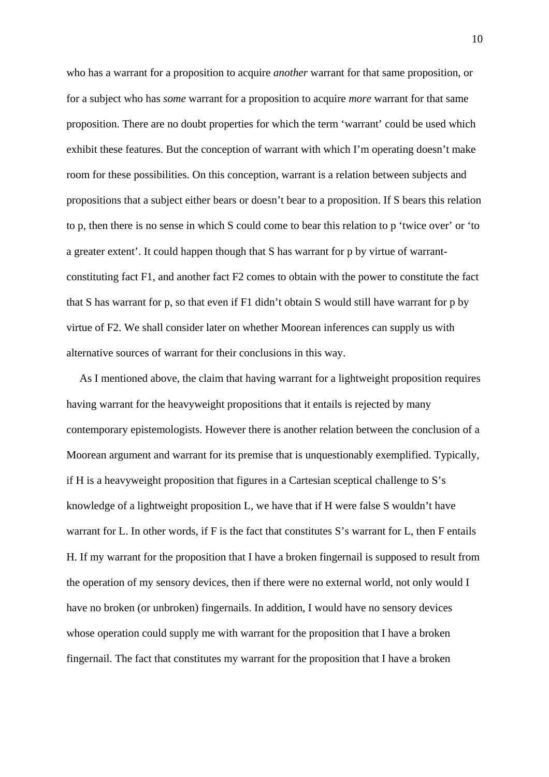who has a warrant for a proposition to acquire *another* warrant for that same proposition, or for a subject who has *some* warrant for a proposition to acquire *more* warrant for that same proposition. There are no doubt properties for which the term 'warrant' could be used which exhibit these features. But the conception of warrant with which I'm operating doesn't make room for these possibilities. On this conception, warrant is a relation between subjects and propositions that a subject either bears or doesn't bear to a proposition. If S bears this relation to p, then there is no sense in which S could come to bear this relation to p 'twice over' or 'to a greater extent'. It could happen though that S has warrant for p by virtue of warrantconstituting fact F1, and another fact F2 comes to obtain with the power to constitute the fact that S has warrant for p, so that even if F1 didn't obtain S would still have warrant for p by virtue of F2. We shall consider later on whether Moorean inferences can supply us with alternative sources of warrant for their conclusions in this way.

As I mentioned above, the claim that having warrant for a lightweight proposition requires having warrant for the heavyweight propositions that it entails is rejected by many contemporary epistemologists. However there is another relation between the conclusion of a Moorean argument and warrant for its premise that is unquestionably exemplified. Typically, if H is a heavyweight proposition that figures in a Cartesian sceptical challenge to S's knowledge of a lightweight proposition L, we have that if H were false S wouldn't have warrant for L. In other words, if F is the fact that constitutes S's warrant for L, then F entails H. If my warrant for the proposition that I have a broken fingernail is supposed to result from the operation of my sensory devices, then if there were no external world, not only would I have no broken (or unbroken) fingernails. In addition, I would have no sensory devices whose operation could supply me with warrant for the proposition that I have a broken fingernail. The fact that constitutes my warrant for the proposition that I have a broken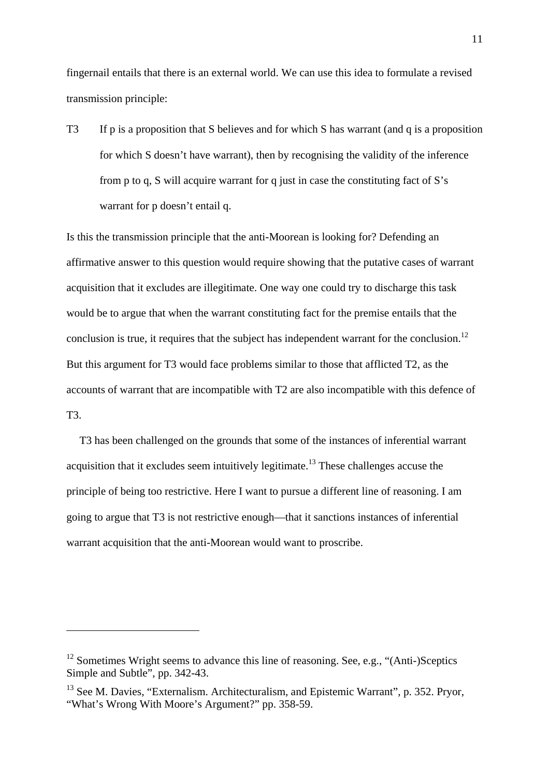fingernail entails that there is an external world. We can use this idea to formulate a revised transmission principle:

T3 If p is a proposition that S believes and for which S has warrant (and q is a proposition for which S doesn't have warrant), then by recognising the validity of the inference from p to q, S will acquire warrant for q just in case the constituting fact of S's warrant for p doesn't entail q.

Is this the transmission principle that the anti-Moorean is looking for? Defending an affirmative answer to this question would require showing that the putative cases of warrant acquisition that it excludes are illegitimate. One way one could try to discharge this task would be to argue that when the warrant constituting fact for the premise entails that the conclusion is true, it requires that the subject has independent warrant for the conclusion.<sup>[12](#page-10-0)</sup> But this argument for T3 would face problems similar to those that afflicted T2, as the accounts of warrant that are incompatible with T2 are also incompatible with this defence of T3.

T3 has been challenged on the grounds that some of the instances of inferential warrant acquisition that it excludes seem intuitively legitimate.<sup>13</sup> These challenges accuse the principle of being too restrictive. Here I want to pursue a different line of reasoning. I am going to argue that T3 is not restrictive enough—that it sanctions instances of inferential warrant acquisition that the anti-Moorean would want to proscribe.

<span id="page-10-0"></span> $12$  Sometimes Wright seems to advance this line of reasoning. See, e.g., "(Anti-)Sceptics Simple and Subtle", pp. 342-43.

<span id="page-10-1"></span> $13$  See M. Davies, "Externalism. Architecturalism, and Epistemic Warrant", p. 352. Pryor, "What's Wrong With Moore's Argument?" pp. 358-59.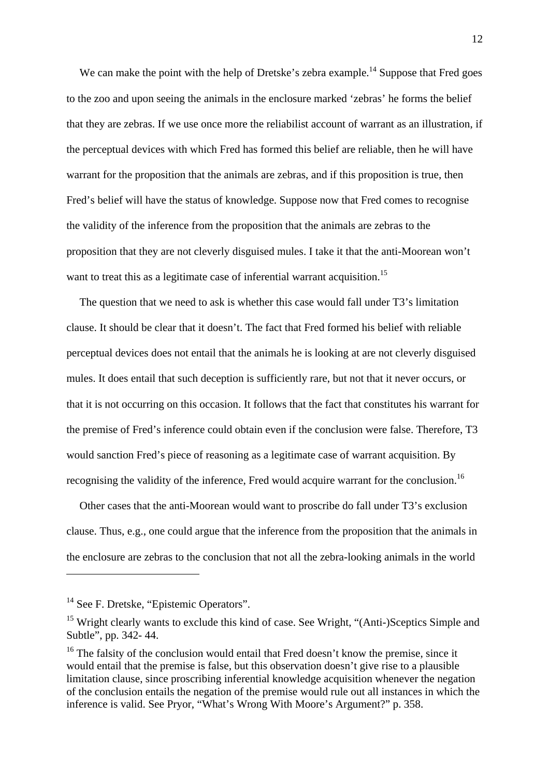We can make the point with the help of Dretske's zebra example.<sup>14</sup> Suppose that Fred goes to the zoo and upon seeing the animals in the enclosure marked 'zebras' he forms the belief that they are zebras. If we use once more the reliabilist account of warrant as an illustration, if the perceptual devices with which Fred has formed this belief are reliable, then he will have warrant for the proposition that the animals are zebras, and if this proposition is true, then Fred's belief will have the status of knowledge. Suppose now that Fred comes to recognise the validity of the inference from the proposition that the animals are zebras to the proposition that they are not cleverly disguised mules. I take it that the anti-Moorean won't want to treat this as a legitimate case of inferential warrant acquisition.<sup>[15](#page-11-1)</sup>

The question that we need to ask is whether this case would fall under T3's limitation clause. It should be clear that it doesn't. The fact that Fred formed his belief with reliable perceptual devices does not entail that the animals he is looking at are not cleverly disguised mules. It does entail that such deception is sufficiently rare, but not that it never occurs, or that it is not occurring on this occasion. It follows that the fact that constitutes his warrant for the premise of Fred's inference could obtain even if the conclusion were false. Therefore, T3 would sanction Fred's piece of reasoning as a legitimate case of warrant acquisition. By recognising the validity of the inference, Fred would acquire warrant for the conclusion.<sup>16</sup>

Other cases that the anti-Moorean would want to proscribe do fall under T3's exclusion clause. Thus, e.g., one could argue that the inference from the proposition that the animals in the enclosure are zebras to the conclusion that not all the zebra-looking animals in the world

<span id="page-11-0"></span><sup>&</sup>lt;sup>14</sup> See F. Dretske, "Epistemic Operators".

<span id="page-11-1"></span><sup>&</sup>lt;sup>15</sup> Wright clearly wants to exclude this kind of case. See Wright, "(Anti-)Sceptics Simple and Subtle", pp. 342- 44.

<span id="page-11-2"></span><sup>&</sup>lt;sup>16</sup> The falsity of the conclusion would entail that Fred doesn't know the premise, since it would entail that the premise is false, but this observation doesn't give rise to a plausible limitation clause, since proscribing inferential knowledge acquisition whenever the negation of the conclusion entails the negation of the premise would rule out all instances in which the inference is valid. See Pryor, "What's Wrong With Moore's Argument?" p. 358.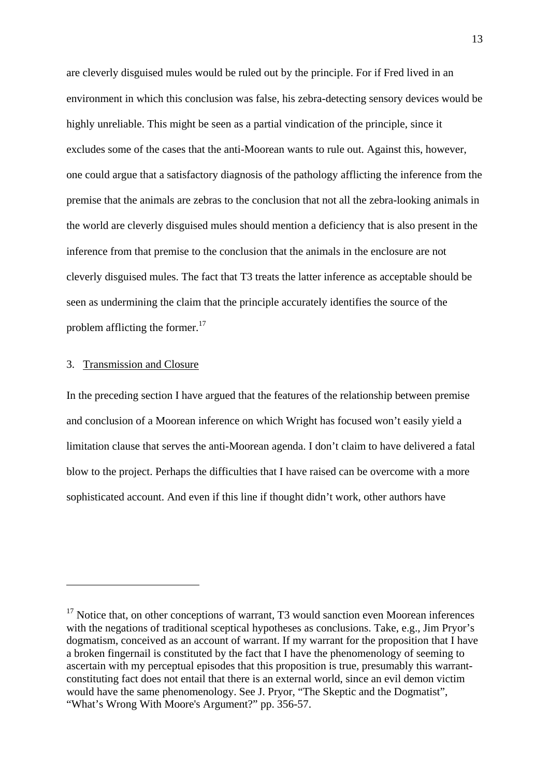are cleverly disguised mules would be ruled out by the principle. For if Fred lived in an environment in which this conclusion was false, his zebra-detecting sensory devices would be highly unreliable. This might be seen as a partial vindication of the principle, since it excludes some of the cases that the anti-Moorean wants to rule out. Against this, however, one could argue that a satisfactory diagnosis of the pathology afflicting the inference from the premise that the animals are zebras to the conclusion that not all the zebra-looking animals in the world are cleverly disguised mules should mention a deficiency that is also present in the inference from that premise to the conclusion that the animals in the enclosure are not cleverly disguised mules. The fact that T3 treats the latter inference as acceptable should be seen as undermining the claim that the principle accurately identifies the source of the problem afflicting the former.<sup>[17](#page-12-0)</sup>

### 3. Transmission and Closure

 $\overline{a}$ 

In the preceding section I have argued that the features of the relationship between premise and conclusion of a Moorean inference on which Wright has focused won't easily yield a limitation clause that serves the anti-Moorean agenda. I don't claim to have delivered a fatal blow to the project. Perhaps the difficulties that I have raised can be overcome with a more sophisticated account. And even if this line if thought didn't work, other authors have

<span id="page-12-0"></span> $17$  Notice that, on other conceptions of warrant, T3 would sanction even Moorean inferences with the negations of traditional sceptical hypotheses as conclusions. Take, e.g., Jim Pryor's dogmatism, conceived as an account of warrant. If my warrant for the proposition that I have a broken fingernail is constituted by the fact that I have the phenomenology of seeming to ascertain with my perceptual episodes that this proposition is true, presumably this warrantconstituting fact does not entail that there is an external world, since an evil demon victim would have the same phenomenology. See J. Pryor, "The Skeptic and the Dogmatist", "What's Wrong With Moore's Argument?" pp. 356-57.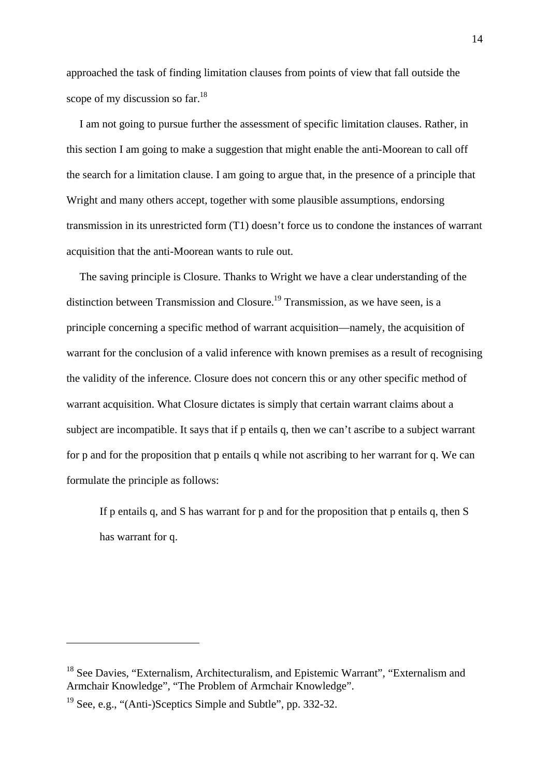approached the task of finding limitation clauses from points of view that fall outside the scope of my discussion so far.<sup>[18](#page-13-0)</sup>

I am not going to pursue further the assessment of specific limitation clauses. Rather, in this section I am going to make a suggestion that might enable the anti-Moorean to call off the search for a limitation clause. I am going to argue that, in the presence of a principle that Wright and many others accept, together with some plausible assumptions, endorsing transmission in its unrestricted form (T1) doesn't force us to condone the instances of warrant acquisition that the anti-Moorean wants to rule out.

The saving principle is Closure. Thanks to Wright we have a clear understanding of the distinction between Transmission and Closure.<sup>19</sup> Transmission, as we have seen, is a principle concerning a specific method of warrant acquisition—namely, the acquisition of warrant for the conclusion of a valid inference with known premises as a result of recognising the validity of the inference. Closure does not concern this or any other specific method of warrant acquisition. What Closure dictates is simply that certain warrant claims about a subject are incompatible. It says that if p entails q, then we can't ascribe to a subject warrant for p and for the proposition that p entails q while not ascribing to her warrant for q. We can formulate the principle as follows:

 If p entails q, and S has warrant for p and for the proposition that p entails q, then S has warrant for q.

<span id="page-13-0"></span><sup>&</sup>lt;sup>18</sup> See Davies, "Externalism, Architecturalism, and Epistemic Warrant", "Externalism and Armchair Knowledge", "The Problem of Armchair Knowledge".

<span id="page-13-1"></span> $19$  See, e.g., "(Anti-)Sceptics Simple and Subtle", pp. 332-32.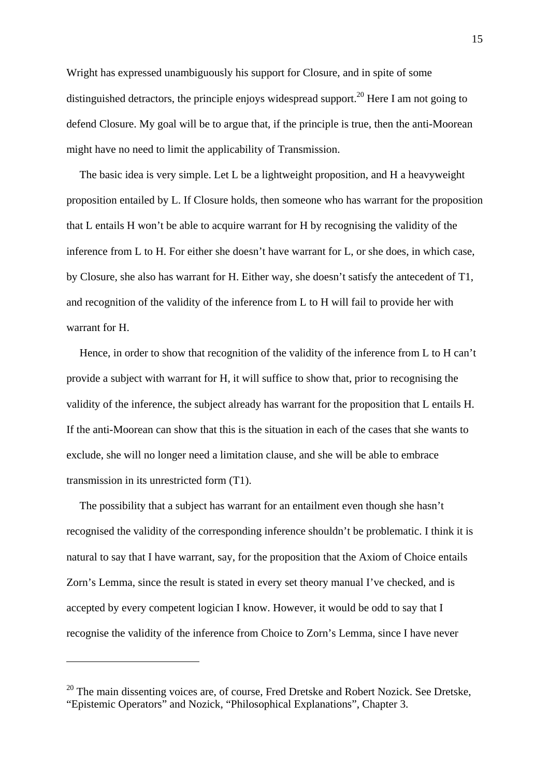Wright has expressed unambiguously his support for Closure, and in spite of some distinguished detractors, the principle enjoys widespread support.<sup>20</sup> Here I am not going to defend Closure. My goal will be to argue that, if the principle is true, then the anti-Moorean might have no need to limit the applicability of Transmission.

The basic idea is very simple. Let L be a lightweight proposition, and H a heavyweight proposition entailed by L. If Closure holds, then someone who has warrant for the proposition that L entails H won't be able to acquire warrant for H by recognising the validity of the inference from L to H. For either she doesn't have warrant for L, or she does, in which case, by Closure, she also has warrant for H. Either way, she doesn't satisfy the antecedent of T1, and recognition of the validity of the inference from L to H will fail to provide her with warrant for H.

Hence, in order to show that recognition of the validity of the inference from L to H can't provide a subject with warrant for H, it will suffice to show that, prior to recognising the validity of the inference, the subject already has warrant for the proposition that L entails H. If the anti-Moorean can show that this is the situation in each of the cases that she wants to exclude, she will no longer need a limitation clause, and she will be able to embrace transmission in its unrestricted form (T1).

The possibility that a subject has warrant for an entailment even though she hasn't recognised the validity of the corresponding inference shouldn't be problematic. I think it is natural to say that I have warrant, say, for the proposition that the Axiom of Choice entails Zorn's Lemma, since the result is stated in every set theory manual I've checked, and is accepted by every competent logician I know. However, it would be odd to say that I recognise the validity of the inference from Choice to Zorn's Lemma, since I have never

<span id="page-14-0"></span><sup>&</sup>lt;sup>20</sup> The main dissenting voices are, of course, Fred Dretske and Robert Nozick. See Dretske, "Epistemic Operators" and Nozick, "Philosophical Explanations", Chapter 3.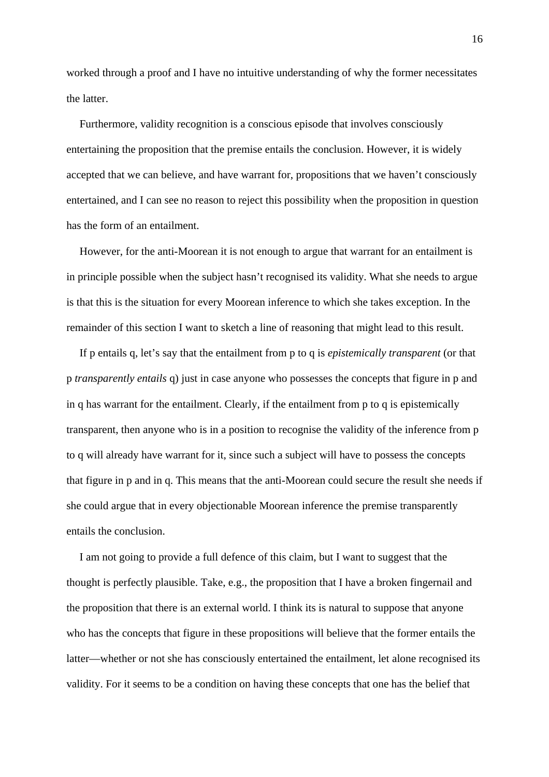worked through a proof and I have no intuitive understanding of why the former necessitates the latter.

Furthermore, validity recognition is a conscious episode that involves consciously entertaining the proposition that the premise entails the conclusion. However, it is widely accepted that we can believe, and have warrant for, propositions that we haven't consciously entertained, and I can see no reason to reject this possibility when the proposition in question has the form of an entailment.

However, for the anti-Moorean it is not enough to argue that warrant for an entailment is in principle possible when the subject hasn't recognised its validity. What she needs to argue is that this is the situation for every Moorean inference to which she takes exception. In the remainder of this section I want to sketch a line of reasoning that might lead to this result.

If p entails q, let's say that the entailment from p to q is *epistemically transparent* (or that p *transparently entails* q) just in case anyone who possesses the concepts that figure in p and in q has warrant for the entailment. Clearly, if the entailment from p to q is epistemically transparent, then anyone who is in a position to recognise the validity of the inference from p to q will already have warrant for it, since such a subject will have to possess the concepts that figure in p and in q. This means that the anti-Moorean could secure the result she needs if she could argue that in every objectionable Moorean inference the premise transparently entails the conclusion.

I am not going to provide a full defence of this claim, but I want to suggest that the thought is perfectly plausible. Take, e.g., the proposition that I have a broken fingernail and the proposition that there is an external world. I think its is natural to suppose that anyone who has the concepts that figure in these propositions will believe that the former entails the latter—whether or not she has consciously entertained the entailment, let alone recognised its validity. For it seems to be a condition on having these concepts that one has the belief that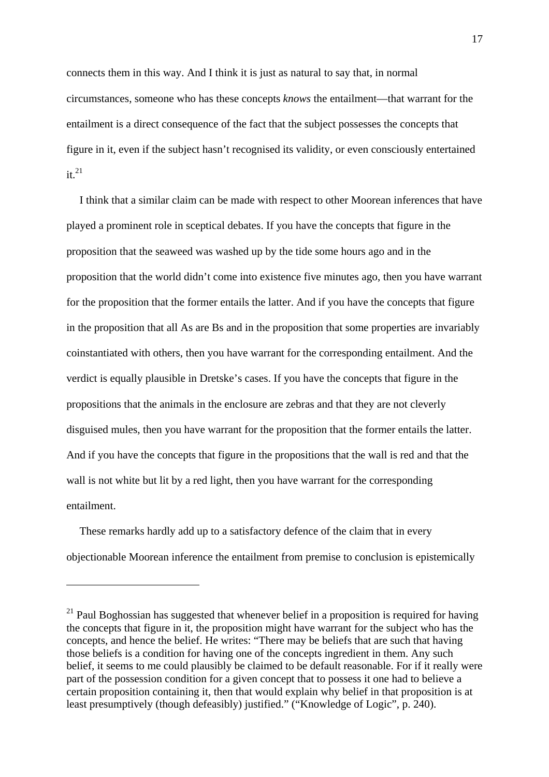connects them in this way. And I think it is just as natural to say that, in normal circumstances, someone who has these concepts *knows* the entailment—that warrant for the entailment is a direct consequence of the fact that the subject possesses the concepts that figure in it, even if the subject hasn't recognised its validity, or even consciously entertained  $it.<sup>21</sup>$ 

I think that a similar claim can be made with respect to other Moorean inferences that have played a prominent role in sceptical debates. If you have the concepts that figure in the proposition that the seaweed was washed up by the tide some hours ago and in the proposition that the world didn't come into existence five minutes ago, then you have warrant for the proposition that the former entails the latter. And if you have the concepts that figure in the proposition that all As are Bs and in the proposition that some properties are invariably coinstantiated with others, then you have warrant for the corresponding entailment. And the verdict is equally plausible in Dretske's cases. If you have the concepts that figure in the propositions that the animals in the enclosure are zebras and that they are not cleverly disguised mules, then you have warrant for the proposition that the former entails the latter. And if you have the concepts that figure in the propositions that the wall is red and that the wall is not white but lit by a red light, then you have warrant for the corresponding entailment.

These remarks hardly add up to a satisfactory defence of the claim that in every objectionable Moorean inference the entailment from premise to conclusion is epistemically

<span id="page-16-0"></span> $21$  Paul Boghossian has suggested that whenever belief in a proposition is required for having the concepts that figure in it, the proposition might have warrant for the subject who has the concepts, and hence the belief. He writes: "There may be beliefs that are such that having those beliefs is a condition for having one of the concepts ingredient in them. Any such belief, it seems to me could plausibly be claimed to be default reasonable. For if it really were part of the possession condition for a given concept that to possess it one had to believe a certain proposition containing it, then that would explain why belief in that proposition is at least presumptively (though defeasibly) justified." ("Knowledge of Logic", p. 240).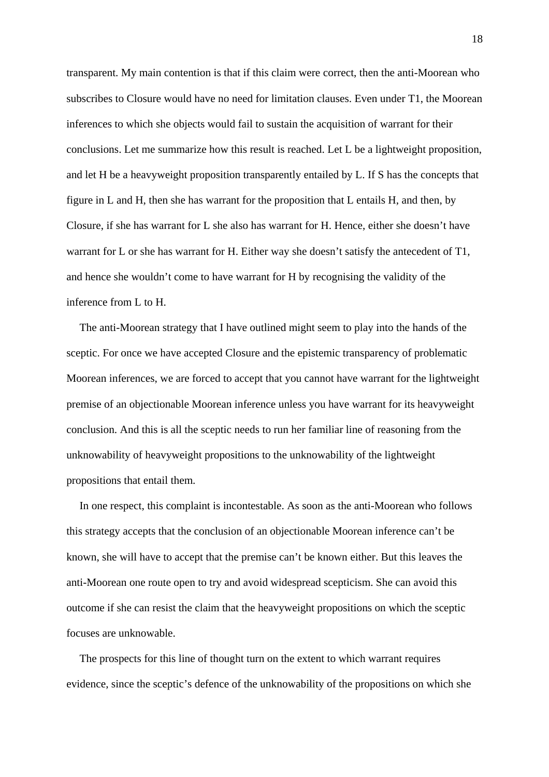transparent. My main contention is that if this claim were correct, then the anti-Moorean who subscribes to Closure would have no need for limitation clauses. Even under T1, the Moorean inferences to which she objects would fail to sustain the acquisition of warrant for their conclusions. Let me summarize how this result is reached. Let L be a lightweight proposition, and let H be a heavyweight proposition transparently entailed by L. If S has the concepts that figure in L and H, then she has warrant for the proposition that L entails H, and then, by Closure, if she has warrant for L she also has warrant for H. Hence, either she doesn't have warrant for L or she has warrant for H. Either way she doesn't satisfy the antecedent of T1, and hence she wouldn't come to have warrant for H by recognising the validity of the inference from L to H.

The anti-Moorean strategy that I have outlined might seem to play into the hands of the sceptic. For once we have accepted Closure and the epistemic transparency of problematic Moorean inferences, we are forced to accept that you cannot have warrant for the lightweight premise of an objectionable Moorean inference unless you have warrant for its heavyweight conclusion. And this is all the sceptic needs to run her familiar line of reasoning from the unknowability of heavyweight propositions to the unknowability of the lightweight propositions that entail them.

In one respect, this complaint is incontestable. As soon as the anti-Moorean who follows this strategy accepts that the conclusion of an objectionable Moorean inference can't be known, she will have to accept that the premise can't be known either. But this leaves the anti-Moorean one route open to try and avoid widespread scepticism. She can avoid this outcome if she can resist the claim that the heavyweight propositions on which the sceptic focuses are unknowable.

The prospects for this line of thought turn on the extent to which warrant requires evidence, since the sceptic's defence of the unknowability of the propositions on which she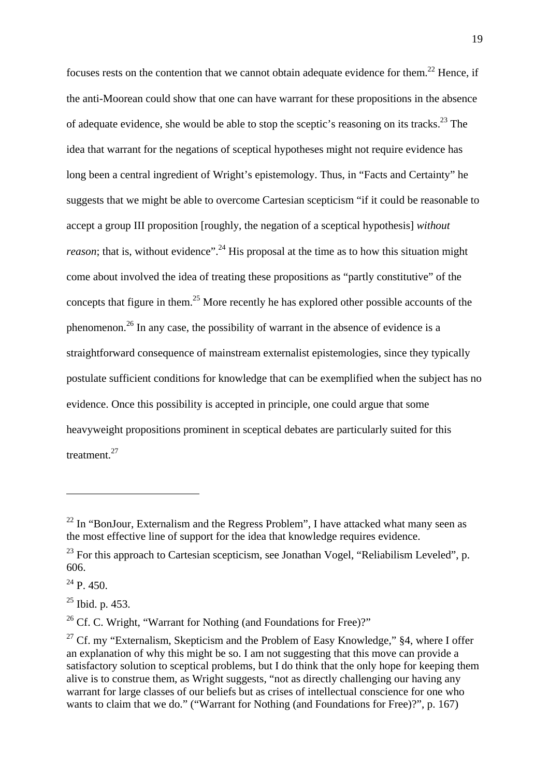focuses rests on the contention that we cannot obtain adequate evidence for them.<sup>22</sup> Hence, if the anti-Moorean could show that one can have warrant for these propositions in the absence of adequate evidence, she would be able to stop the sceptic's reasoning on its tracks.<sup>23</sup> The idea that warrant for the negations of sceptical hypotheses might not require evidence has long been a central ingredient of Wright's epistemology. Thus, in "Facts and Certainty" he suggests that we might be able to overcome Cartesian scepticism "if it could be reasonable to accept a group III proposition [roughly, the negation of a sceptical hypothesis] *without reason*; that is, without evidence".<sup>24</sup> His proposal at the time as to how this situation might come about involved the idea of treating these propositions as "partly constitutive" of the concepts that figure in them.[25](#page-18-3) More recently he has explored other possible accounts of the phenomenon.<sup>26</sup> In any case, the possibility of warrant in the absence of evidence is a straightforward consequence of mainstream externalist epistemologies, since they typically postulate sufficient conditions for knowledge that can be exemplified when the subject has no evidence. Once this possibility is accepted in principle, one could argue that some heavyweight propositions prominent in sceptical debates are particularly suited for this treatment.<sup>[27](#page-18-5)</sup>

<span id="page-18-0"></span> $22$  In "BonJour, Externalism and the Regress Problem", I have attacked what many seen as the most effective line of support for the idea that knowledge requires evidence.

<span id="page-18-1"></span> $^{23}$  For this approach to Cartesian scepticism, see Jonathan Vogel, "Reliabilism Leveled", p. 606.

<span id="page-18-2"></span> $^{24}$  P. 450.

<span id="page-18-3"></span> $^{25}$  Ibid. p. 453.

<span id="page-18-4"></span><sup>&</sup>lt;sup>26</sup> Cf. C. Wright, "Warrant for Nothing (and Foundations for Free)?"

<span id="page-18-5"></span><sup>&</sup>lt;sup>27</sup> Cf. my "Externalism, Skepticism and the Problem of Easy Knowledge," §4, where I offer an explanation of why this might be so. I am not suggesting that this move can provide a satisfactory solution to sceptical problems, but I do think that the only hope for keeping them alive is to construe them, as Wright suggests, "not as directly challenging our having any warrant for large classes of our beliefs but as crises of intellectual conscience for one who wants to claim that we do." ("Warrant for Nothing (and Foundations for Free)?", p. 167)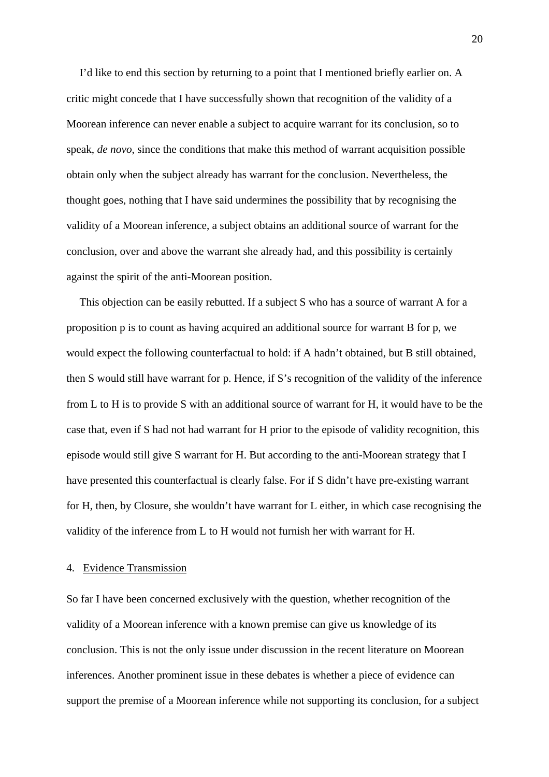I'd like to end this section by returning to a point that I mentioned briefly earlier on. A critic might concede that I have successfully shown that recognition of the validity of a Moorean inference can never enable a subject to acquire warrant for its conclusion, so to speak, *de novo*, since the conditions that make this method of warrant acquisition possible obtain only when the subject already has warrant for the conclusion. Nevertheless, the thought goes, nothing that I have said undermines the possibility that by recognising the validity of a Moorean inference, a subject obtains an additional source of warrant for the conclusion, over and above the warrant she already had, and this possibility is certainly against the spirit of the anti-Moorean position.

This objection can be easily rebutted. If a subject S who has a source of warrant A for a proposition p is to count as having acquired an additional source for warrant B for p, we would expect the following counterfactual to hold: if A hadn't obtained, but B still obtained, then S would still have warrant for p. Hence, if S's recognition of the validity of the inference from L to H is to provide S with an additional source of warrant for H, it would have to be the case that, even if S had not had warrant for H prior to the episode of validity recognition, this episode would still give S warrant for H. But according to the anti-Moorean strategy that I have presented this counterfactual is clearly false. For if S didn't have pre-existing warrant for H, then, by Closure, she wouldn't have warrant for L either, in which case recognising the validity of the inference from L to H would not furnish her with warrant for H.

#### 4. Evidence Transmission

So far I have been concerned exclusively with the question, whether recognition of the validity of a Moorean inference with a known premise can give us knowledge of its conclusion. This is not the only issue under discussion in the recent literature on Moorean inferences. Another prominent issue in these debates is whether a piece of evidence can support the premise of a Moorean inference while not supporting its conclusion, for a subject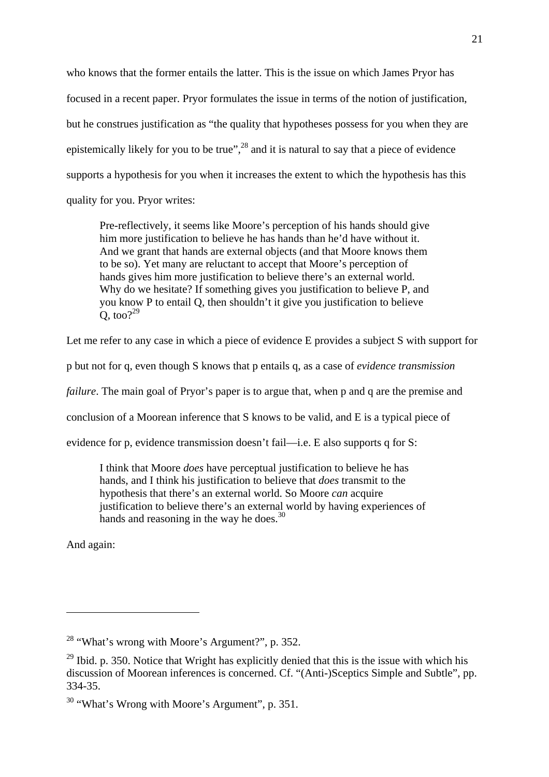who knows that the former entails the latter. This is the issue on which James Pryor has focused in a recent paper. Pryor formulates the issue in terms of the notion of justification, but he construes justification as "the quality that hypotheses possess for you when they are epistemically likely for you to be true",  $^{28}$  and it is natural to say that a piece of evidence supports a hypothesis for you when it increases the extent to which the hypothesis has this quality for you. Pryor writes:

Pre-reflectively, it seems like Moore's perception of his hands should give him more justification to believe he has hands than he'd have without it. And we grant that hands are external objects (and that Moore knows them to be so). Yet many are reluctant to accept that Moore's perception of hands gives him more justification to believe there's an external world. Why do we hesitate? If something gives you justification to believe P, and you know P to entail Q, then shouldn't it give you justification to believe  $Q,$  too?<sup>[29](#page-20-1)</sup>

Let me refer to any case in which a piece of evidence E provides a subject S with support for

p but not for q, even though S knows that p entails q, as a case of *evidence transmission* 

*failure*. The main goal of Pryor's paper is to argue that, when p and q are the premise and

conclusion of a Moorean inference that S knows to be valid, and E is a typical piece of

evidence for p, evidence transmission doesn't fail—i.e. E also supports q for S:

I think that Moore *does* have perceptual justification to believe he has hands, and I think his justification to believe that *does* transmit to the hypothesis that there's an external world. So Moore *can* acquire justification to believe there's an external world by having experiences of hands and reasoning in the way he does. $30$ 

And again:

<span id="page-20-0"></span><sup>&</sup>lt;sup>28</sup> "What's wrong with Moore's Argument?", p. 352.

<span id="page-20-1"></span> $^{29}$  Ibid. p. 350. Notice that Wright has explicitly denied that this is the issue with which his discussion of Moorean inferences is concerned. Cf. "(Anti-)Sceptics Simple and Subtle", pp. 334-35.

<span id="page-20-2"></span><sup>&</sup>lt;sup>30</sup> "What's Wrong with Moore's Argument", p. 351.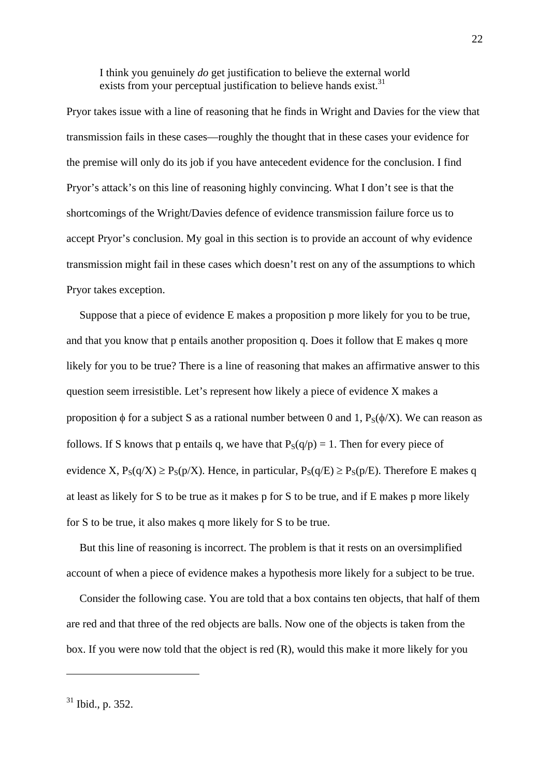I think you genuinely *do* get justification to believe the external world exists from your perceptual justification to believe hands exist.<sup>[31](#page-21-0)</sup>

Pryor takes issue with a line of reasoning that he finds in Wright and Davies for the view that transmission fails in these cases—roughly the thought that in these cases your evidence for the premise will only do its job if you have antecedent evidence for the conclusion. I find Pryor's attack's on this line of reasoning highly convincing. What I don't see is that the shortcomings of the Wright/Davies defence of evidence transmission failure force us to accept Pryor's conclusion. My goal in this section is to provide an account of why evidence transmission might fail in these cases which doesn't rest on any of the assumptions to which Pryor takes exception.

Suppose that a piece of evidence E makes a proposition p more likely for you to be true, and that you know that p entails another proposition q. Does it follow that E makes q more likely for you to be true? There is a line of reasoning that makes an affirmative answer to this question seem irresistible. Let's represent how likely a piece of evidence X makes a proposition φ for a subject S as a rational number between 0 and 1,  $P_S(\phi/X)$ . We can reason as follows. If S knows that p entails q, we have that  $P_S(q/p) = 1$ . Then for every piece of evidence X,  $P_S(q/X) \ge P_S(p/X)$ . Hence, in particular,  $P_S(q/E) \ge P_S(p/E)$ . Therefore E makes q at least as likely for S to be true as it makes p for S to be true, and if E makes p more likely for S to be true, it also makes q more likely for S to be true.

But this line of reasoning is incorrect. The problem is that it rests on an oversimplified account of when a piece of evidence makes a hypothesis more likely for a subject to be true.

Consider the following case. You are told that a box contains ten objects, that half of them are red and that three of the red objects are balls. Now one of the objects is taken from the box. If you were now told that the object is red (R), would this make it more likely for you

<span id="page-21-0"></span> $31$  Ibid., p. 352.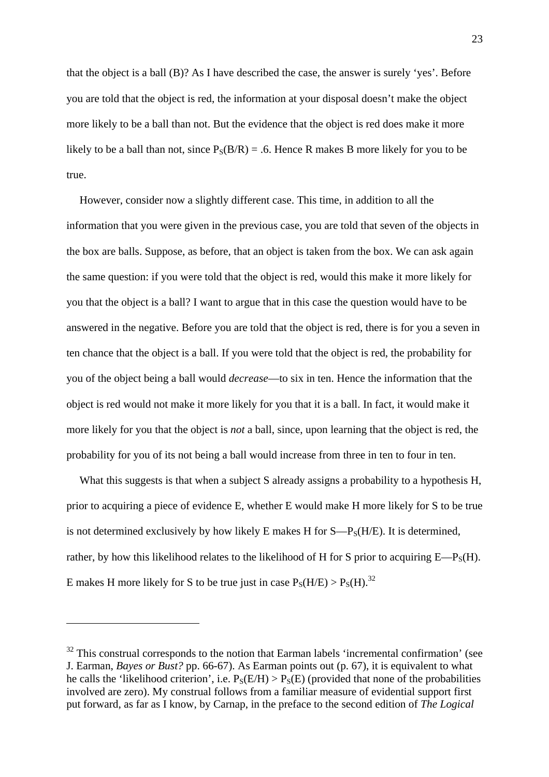that the object is a ball (B)? As I have described the case, the answer is surely 'yes'. Before you are told that the object is red, the information at your disposal doesn't make the object more likely to be a ball than not. But the evidence that the object is red does make it more likely to be a ball than not, since  $P_S(B/R) = .6$ . Hence R makes B more likely for you to be true.

However, consider now a slightly different case. This time, in addition to all the information that you were given in the previous case, you are told that seven of the objects in the box are balls. Suppose, as before, that an object is taken from the box. We can ask again the same question: if you were told that the object is red, would this make it more likely for you that the object is a ball? I want to argue that in this case the question would have to be answered in the negative. Before you are told that the object is red, there is for you a seven in ten chance that the object is a ball. If you were told that the object is red, the probability for you of the object being a ball would *decrease*—to six in ten. Hence the information that the object is red would not make it more likely for you that it is a ball. In fact, it would make it more likely for you that the object is *not* a ball, since, upon learning that the object is red, the probability for you of its not being a ball would increase from three in ten to four in ten.

What this suggests is that when a subject S already assigns a probability to a hypothesis H, prior to acquiring a piece of evidence E, whether E would make H more likely for S to be true is not determined exclusively by how likely E makes H for  $S-P<sub>S</sub>(H/E)$ . It is determined, rather, by how this likelihood relates to the likelihood of H for S prior to acquiring  $E-P<sub>S</sub>(H)$ . E makes H more likely for S to be true just in case  $P_s(H/E) > P_s(H)$ .<sup>[32](#page-22-0)</sup>

<span id="page-22-0"></span> $32$  This construal corresponds to the notion that Earman labels 'incremental confirmation' (see J. Earman, *Bayes or Bust?* pp. 66-67). As Earman points out (p. 67), it is equivalent to what he calls the 'likelihood criterion', i.e.  $P_S(E/H) > P_S(E)$  (provided that none of the probabilities involved are zero). My construal follows from a familiar measure of evidential support first put forward, as far as I know, by Carnap, in the preface to the second edition of *The Logical*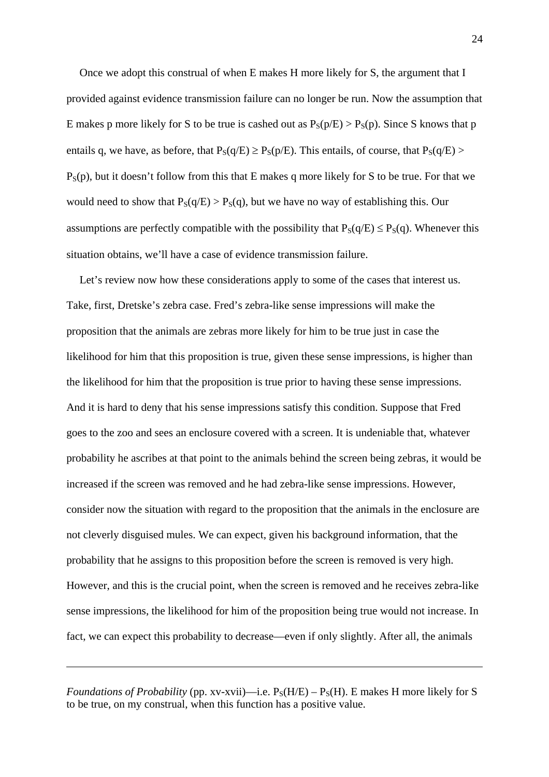Once we adopt this construal of when E makes H more likely for S, the argument that I provided against evidence transmission failure can no longer be run. Now the assumption that E makes p more likely for S to be true is cashed out as  $P_S(p/E) > P_S(p)$ . Since S knows that p entails q, we have, as before, that  $P_S(q/E) \ge P_S(p/E)$ . This entails, of course, that  $P_S(q/E)$  $P<sub>S</sub>(p)$ , but it doesn't follow from this that E makes q more likely for S to be true. For that we would need to show that  $P_S(q/E) > P_S(q)$ , but we have no way of establishing this. Our assumptions are perfectly compatible with the possibility that  $P_S(q/E) \leq P_S(q)$ . Whenever this situation obtains, we'll have a case of evidence transmission failure.

Let's review now how these considerations apply to some of the cases that interest us. Take, first, Dretske's zebra case. Fred's zebra-like sense impressions will make the proposition that the animals are zebras more likely for him to be true just in case the likelihood for him that this proposition is true, given these sense impressions, is higher than the likelihood for him that the proposition is true prior to having these sense impressions. And it is hard to deny that his sense impressions satisfy this condition. Suppose that Fred goes to the zoo and sees an enclosure covered with a screen. It is undeniable that, whatever probability he ascribes at that point to the animals behind the screen being zebras, it would be increased if the screen was removed and he had zebra-like sense impressions. However, consider now the situation with regard to the proposition that the animals in the enclosure are not cleverly disguised mules. We can expect, given his background information, that the probability that he assigns to this proposition before the screen is removed is very high. However, and this is the crucial point, when the screen is removed and he receives zebra-like sense impressions, the likelihood for him of the proposition being true would not increase. In fact, we can expect this probability to decrease—even if only slightly. After all, the animals

*Foundations of Probability* (pp. xv-xvii)—i.e.  $P_s(H/E) - P_s(H)$ . E makes H more likely for S to be true, on my construal, when this function has a positive value.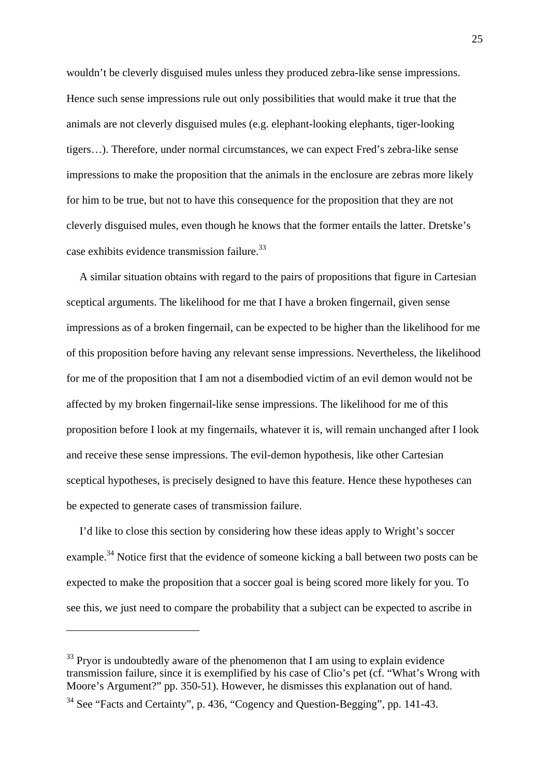wouldn't be cleverly disguised mules unless they produced zebra-like sense impressions. Hence such sense impressions rule out only possibilities that would make it true that the animals are not cleverly disguised mules (e.g. elephant-looking elephants, tiger-looking tigers…). Therefore, under normal circumstances, we can expect Fred's zebra-like sense impressions to make the proposition that the animals in the enclosure are zebras more likely for him to be true, but not to have this consequence for the proposition that they are not cleverly disguised mules, even though he knows that the former entails the latter. Dretske's case exhibits evidence transmission failure[.33](#page-24-0)

A similar situation obtains with regard to the pairs of propositions that figure in Cartesian sceptical arguments. The likelihood for me that I have a broken fingernail, given sense impressions as of a broken fingernail, can be expected to be higher than the likelihood for me of this proposition before having any relevant sense impressions. Nevertheless, the likelihood for me of the proposition that I am not a disembodied victim of an evil demon would not be affected by my broken fingernail-like sense impressions. The likelihood for me of this proposition before I look at my fingernails, whatever it is, will remain unchanged after I look and receive these sense impressions. The evil-demon hypothesis, like other Cartesian sceptical hypotheses, is precisely designed to have this feature. Hence these hypotheses can be expected to generate cases of transmission failure.

I'd like to close this section by considering how these ideas apply to Wright's soccer example.<sup>34</sup> Notice first that the evidence of someone kicking a ball between two posts can be expected to make the proposition that a soccer goal is being scored more likely for you. To see this, we just need to compare the probability that a subject can be expected to ascribe in

<span id="page-24-0"></span> $33$  Pryor is undoubtedly aware of the phenomenon that I am using to explain evidence transmission failure, since it is exemplified by his case of Clio's pet (cf. "What's Wrong with Moore's Argument?" pp. 350-51). However, he dismisses this explanation out of hand.

<span id="page-24-1"></span><sup>&</sup>lt;sup>34</sup> See "Facts and Certainty", p. 436, "Cogency and Question-Begging", pp. 141-43.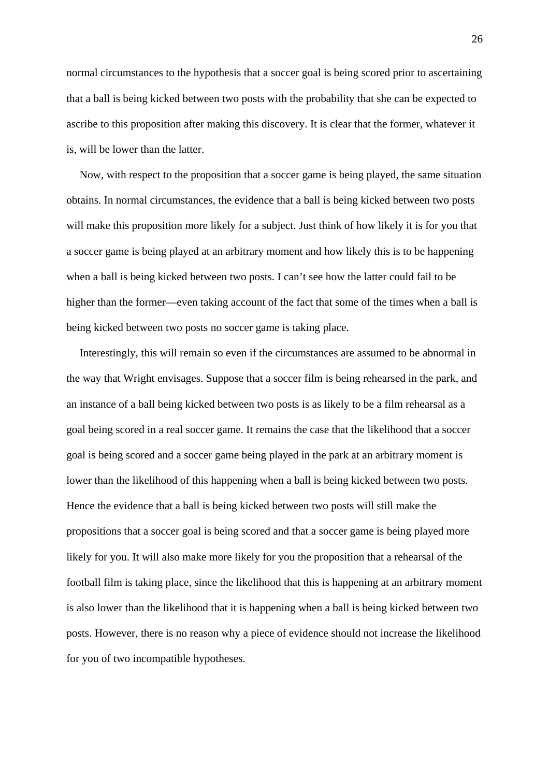normal circumstances to the hypothesis that a soccer goal is being scored prior to ascertaining that a ball is being kicked between two posts with the probability that she can be expected to ascribe to this proposition after making this discovery. It is clear that the former, whatever it is, will be lower than the latter.

Now, with respect to the proposition that a soccer game is being played, the same situation obtains. In normal circumstances, the evidence that a ball is being kicked between two posts will make this proposition more likely for a subject. Just think of how likely it is for you that a soccer game is being played at an arbitrary moment and how likely this is to be happening when a ball is being kicked between two posts. I can't see how the latter could fail to be higher than the former—even taking account of the fact that some of the times when a ball is being kicked between two posts no soccer game is taking place.

Interestingly, this will remain so even if the circumstances are assumed to be abnormal in the way that Wright envisages. Suppose that a soccer film is being rehearsed in the park, and an instance of a ball being kicked between two posts is as likely to be a film rehearsal as a goal being scored in a real soccer game. It remains the case that the likelihood that a soccer goal is being scored and a soccer game being played in the park at an arbitrary moment is lower than the likelihood of this happening when a ball is being kicked between two posts. Hence the evidence that a ball is being kicked between two posts will still make the propositions that a soccer goal is being scored and that a soccer game is being played more likely for you. It will also make more likely for you the proposition that a rehearsal of the football film is taking place, since the likelihood that this is happening at an arbitrary moment is also lower than the likelihood that it is happening when a ball is being kicked between two posts. However, there is no reason why a piece of evidence should not increase the likelihood for you of two incompatible hypotheses.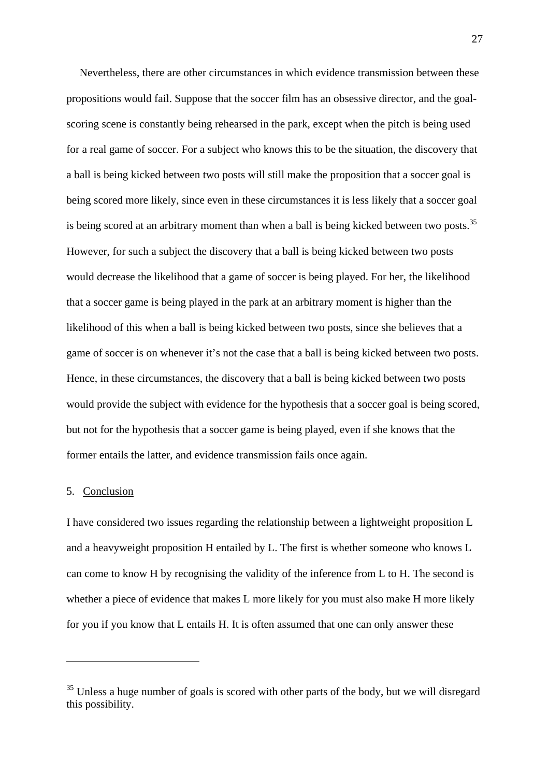Nevertheless, there are other circumstances in which evidence transmission between these propositions would fail. Suppose that the soccer film has an obsessive director, and the goalscoring scene is constantly being rehearsed in the park, except when the pitch is being used for a real game of soccer. For a subject who knows this to be the situation, the discovery that a ball is being kicked between two posts will still make the proposition that a soccer goal is being scored more likely, since even in these circumstances it is less likely that a soccer goal is being scored at an arbitrary moment than when a ball is being kicked between two posts. $35$ However, for such a subject the discovery that a ball is being kicked between two posts would decrease the likelihood that a game of soccer is being played. For her, the likelihood that a soccer game is being played in the park at an arbitrary moment is higher than the likelihood of this when a ball is being kicked between two posts, since she believes that a game of soccer is on whenever it's not the case that a ball is being kicked between two posts. Hence, in these circumstances, the discovery that a ball is being kicked between two posts would provide the subject with evidence for the hypothesis that a soccer goal is being scored, but not for the hypothesis that a soccer game is being played, even if she knows that the former entails the latter, and evidence transmission fails once again.

### 5. Conclusion

 $\overline{a}$ 

I have considered two issues regarding the relationship between a lightweight proposition L and a heavyweight proposition H entailed by L. The first is whether someone who knows L can come to know H by recognising the validity of the inference from L to H. The second is whether a piece of evidence that makes L more likely for you must also make H more likely for you if you know that L entails H. It is often assumed that one can only answer these

<span id="page-26-0"></span> $35$  Unless a huge number of goals is scored with other parts of the body, but we will disregard this possibility.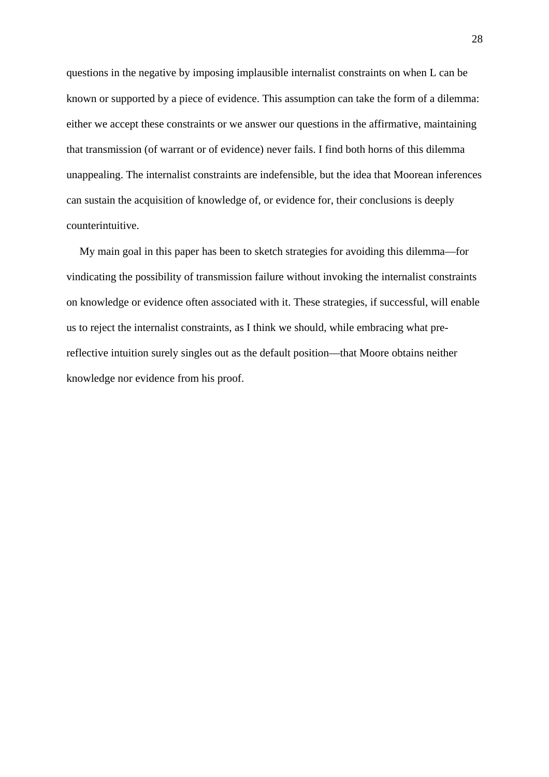questions in the negative by imposing implausible internalist constraints on when L can be known or supported by a piece of evidence. This assumption can take the form of a dilemma: either we accept these constraints or we answer our questions in the affirmative, maintaining that transmission (of warrant or of evidence) never fails. I find both horns of this dilemma unappealing. The internalist constraints are indefensible, but the idea that Moorean inferences can sustain the acquisition of knowledge of, or evidence for, their conclusions is deeply counterintuitive.

My main goal in this paper has been to sketch strategies for avoiding this dilemma—for vindicating the possibility of transmission failure without invoking the internalist constraints on knowledge or evidence often associated with it. These strategies, if successful, will enable us to reject the internalist constraints, as I think we should, while embracing what prereflective intuition surely singles out as the default position—that Moore obtains neither knowledge nor evidence from his proof.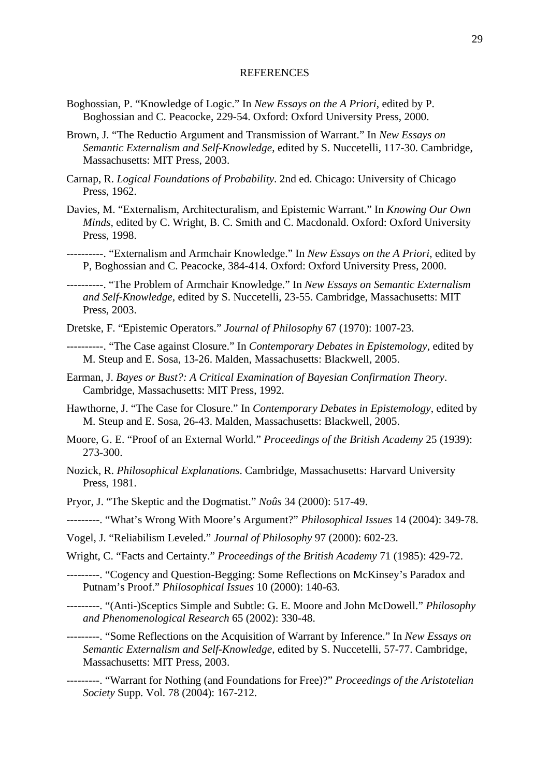#### **REFERENCES**

- Boghossian, P. "Knowledge of Logic." In *New Essays on the A Priori*, edited by P. Boghossian and C. Peacocke, 229-54. Oxford: Oxford University Press, 2000.
- Brown, J. "The Reductio Argument and Transmission of Warrant." In *New Essays on Semantic Externalism and Self-Knowledge*, edited by S. Nuccetelli, 117-30. Cambridge, Massachusetts: MIT Press, 2003.
- Carnap, R. *Logical Foundations of Probability*. 2nd ed. Chicago: University of Chicago Press, 1962.
- Davies, M. "Externalism, Architecturalism, and Epistemic Warrant." In *Knowing Our Own Minds*, edited by C. Wright, B. C. Smith and C. Macdonald. Oxford: Oxford University Press, 1998.

----------. "Externalism and Armchair Knowledge." In *New Essays on the A Priori*, edited by P, Boghossian and C. Peacocke, 384-414. Oxford: Oxford University Press, 2000.

- ----------. "The Problem of Armchair Knowledge." In *New Essays on Semantic Externalism and Self-Knowledge*, edited by S. Nuccetelli, 23-55. Cambridge, Massachusetts: MIT Press, 2003.
- Dretske, F. "Epistemic Operators." *Journal of Philosophy* 67 (1970): 1007-23.

----------. "The Case against Closure." In *Contemporary Debates in Epistemology*, edited by M. Steup and E. Sosa, 13-26. Malden, Massachusetts: Blackwell, 2005.

- Earman, J. *Bayes or Bust?: A Critical Examination of Bayesian Confirmation Theory*. Cambridge, Massachusetts: MIT Press, 1992.
- Hawthorne, J. "The Case for Closure." In *Contemporary Debates in Epistemology*, edited by M. Steup and E. Sosa, 26-43. Malden, Massachusetts: Blackwell, 2005.
- Moore, G. E. "Proof of an External World." *Proceedings of the British Academy* 25 (1939): 273-300.
- Nozick, R. *Philosophical Explanations*. Cambridge, Massachusetts: Harvard University Press, 1981.

Pryor, J. "The Skeptic and the Dogmatist." *Noûs* 34 (2000): 517-49.

- ---------. "What's Wrong With Moore's Argument?" *Philosophical Issues* 14 (2004): 349-78.
- Vogel, J. "Reliabilism Leveled." *Journal of Philosophy* 97 (2000): 602-23.

Wright, C. "Facts and Certainty." *Proceedings of the British Academy* 71 (1985): 429-72.

---------. "Cogency and Question-Begging: Some Reflections on McKinsey's Paradox and Putnam's Proof." *Philosophical Issues* 10 (2000): 140-63.

---------. "(Anti-)Sceptics Simple and Subtle: G. E. Moore and John McDowell." *Philosophy and Phenomenological Research* 65 (2002): 330-48.

---------. "Some Reflections on the Acquisition of Warrant by Inference." In *New Essays on Semantic Externalism and Self-Knowledge*, edited by S. Nuccetelli, 57-77. Cambridge, Massachusetts: MIT Press, 2003.

---------. "Warrant for Nothing (and Foundations for Free)?" *Proceedings of the Aristotelian Society* Supp. Vol. 78 (2004): 167-212.